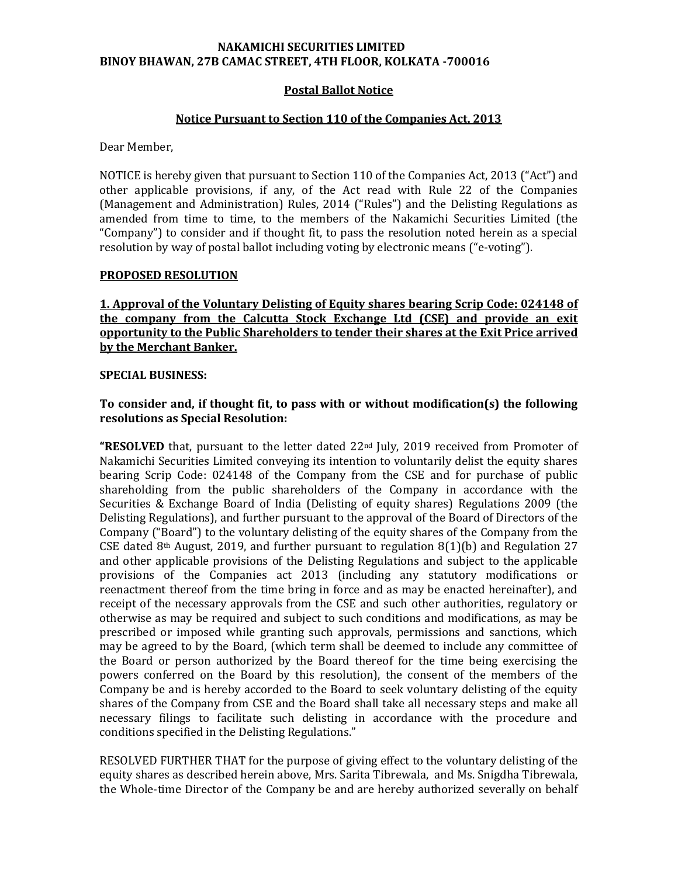### **NAKAMICHI SECURITIES LIMITED BINOY BHAWAN, 27B CAMAC STREET, 4TH FLOOR, KOLKATA -700016**

## **Postal Ballot Notice**

## **Notice Pursuant to Section 110 of the Companies Act, 2013**

Dear Member,

NOTICE is hereby given that pursuant to Section 110 of the Companies Act, 2013 ("Act") and other applicable provisions, if any, of the Act read with Rule 22 of the Companies (Management and Administration) Rules, 2014 ("Rules") and the Delisting Regulations as amended from time to time, to the members of the Nakamichi Securities Limited (the "Company") to consider and if thought fit, to pass the resolution noted herein as a special resolution by way of postal ballot including voting by electronic means ("e-voting").

#### **PROPOSED RESOLUTION**

**1. Approval of the Voluntary Delisting of Equity shares bearing Scrip Code: 024148 of the company from the Calcutta Stock Exchange Ltd (CSE) and provide an exit opportunity to the Public Shareholders to tender their shares at the Exit Price arrived by the Merchant Banker.** 

#### **SPECIAL BUSINESS:**

# **To consider and, if thought fit, to pass with or without modification(s) the following resolutions as Special Resolution:**

**"RESOLVED** that, pursuant to the letter dated 22nd July, 2019 received from Promoter of Nakamichi Securities Limited conveying its intention to voluntarily delist the equity shares bearing Scrip Code: 024148 of the Company from the CSE and for purchase of public shareholding from the public shareholders of the Company in accordance with the Securities & Exchange Board of India (Delisting of equity shares) Regulations 2009 (the Delisting Regulations), and further pursuant to the approval of the Board of Directors of the Company ("Board") to the voluntary delisting of the equity shares of the Company from the CSE dated 8<sup>th</sup> August, 2019, and further pursuant to regulation 8(1)(b) and Regulation 27 and other applicable provisions of the Delisting Regulations and subject to the applicable provisions of the Companies act 2013 (including any statutory modifications or reenactment thereof from the time bring in force and as may be enacted hereinafter), and receipt of the necessary approvals from the CSE and such other authorities, regulatory or otherwise as may be required and subject to such conditions and modifications, as may be prescribed or imposed while granting such approvals, permissions and sanctions, which may be agreed to by the Board, (which term shall be deemed to include any committee of the Board or person authorized by the Board thereof for the time being exercising the powers conferred on the Board by this resolution), the consent of the members of the Company be and is hereby accorded to the Board to seek voluntary delisting of the equity shares of the Company from CSE and the Board shall take all necessary steps and make all necessary filings to facilitate such delisting in accordance with the procedure and conditions specified in the Delisting Regulations."

RESOLVED FURTHER THAT for the purpose of giving effect to the voluntary delisting of the equity shares as described herein above, Mrs. Sarita Tibrewala, and Ms. Snigdha Tibrewala, the Whole-time Director of the Company be and are hereby authorized severally on behalf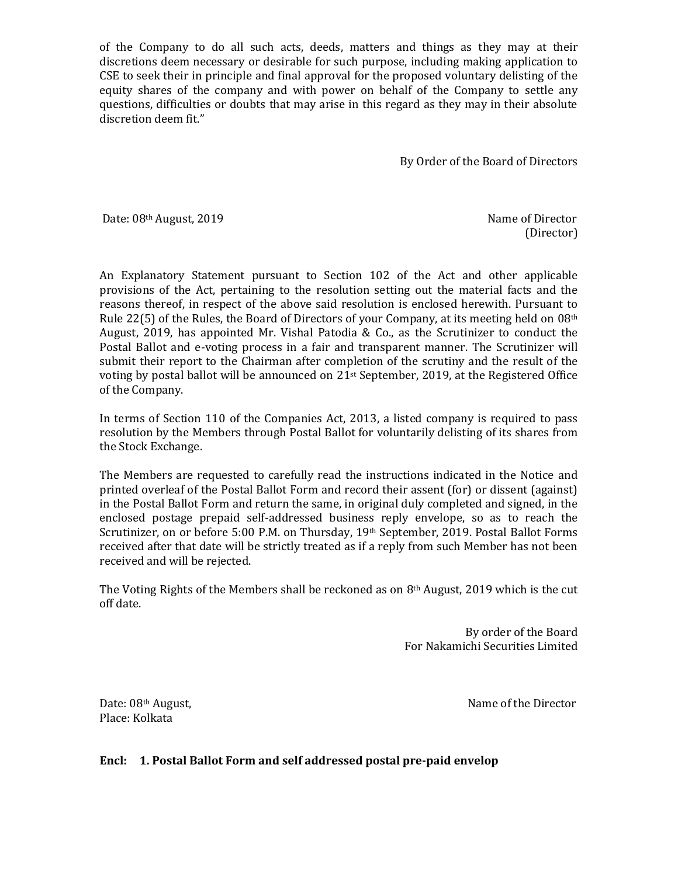of the Company to do all such acts, deeds, matters and things as they may at their discretions deem necessary or desirable for such purpose, including making application to CSE to seek their in principle and final approval for the proposed voluntary delisting of the equity shares of the company and with power on behalf of the Company to settle any questions, difficulties or doubts that may arise in this regard as they may in their absolute discretion deem fit."

By Order of the Board of Directors

Date: 08th August, 2019 Name of Director

(Director)

An Explanatory Statement pursuant to Section 102 of the Act and other applicable provisions of the Act, pertaining to the resolution setting out the material facts and the reasons thereof, in respect of the above said resolution is enclosed herewith. Pursuant to Rule 22(5) of the Rules, the Board of Directors of your Company, at its meeting held on 08th August, 2019, has appointed Mr. Vishal Patodia & Co., as the Scrutinizer to conduct the Postal Ballot and e-voting process in a fair and transparent manner. The Scrutinizer will submit their report to the Chairman after completion of the scrutiny and the result of the voting by postal ballot will be announced on  $21<sup>st</sup>$  September, 2019, at the Registered Office of the Company.

In terms of Section 110 of the Companies Act, 2013, a listed company is required to pass resolution by the Members through Postal Ballot for voluntarily delisting of its shares from the Stock Exchange.

The Members are requested to carefully read the instructions indicated in the Notice and printed overleaf of the Postal Ballot Form and record their assent (for) or dissent (against) in the Postal Ballot Form and return the same, in original duly completed and signed, in the enclosed postage prepaid self-addressed business reply envelope, so as to reach the Scrutinizer, on or before 5:00 P.M. on Thursday, 19th September, 2019. Postal Ballot Forms received after that date will be strictly treated as if a reply from such Member has not been received and will be rejected.

The Voting Rights of the Members shall be reckoned as on  $8<sup>th</sup>$  August, 2019 which is the cut off date.

> By order of the Board For Nakamichi Securities Limited

Place: Kolkata

Date: 08<sup>th</sup> August, Name of the Director

**Encl: 1. Postal Ballot Form and self addressed postal pre-paid envelop**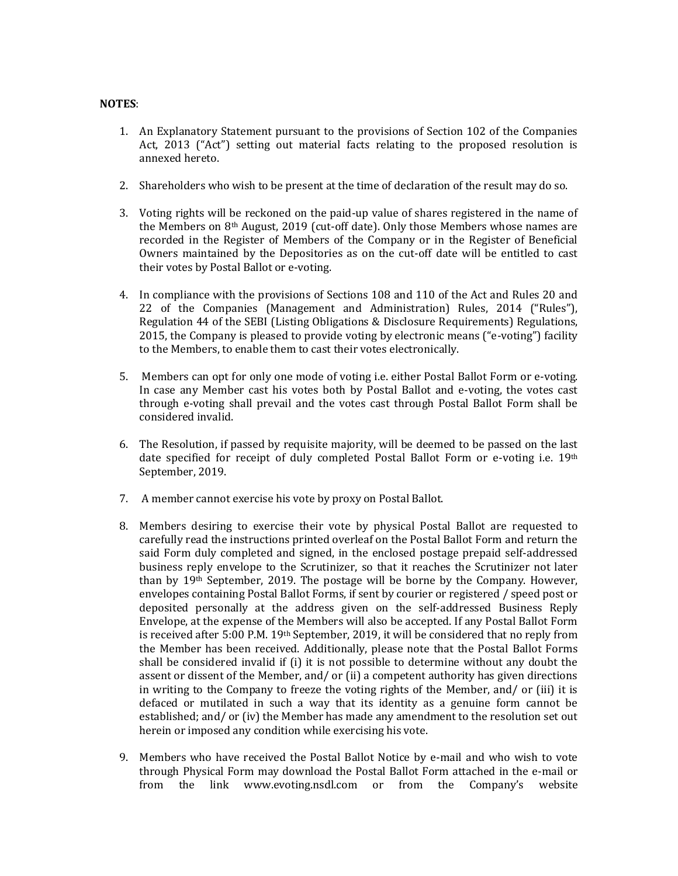### **NOTES**:

- 1. An Explanatory Statement pursuant to the provisions of Section 102 of the Companies Act, 2013 ("Act") setting out material facts relating to the proposed resolution is annexed hereto.
- 2. Shareholders who wish to be present at the time of declaration of the result may do so.
- 3. Voting rights will be reckoned on the paid-up value of shares registered in the name of the Members on 8th August, 2019 (cut-off date). Only those Members whose names are recorded in the Register of Members of the Company or in the Register of Beneficial Owners maintained by the Depositories as on the cut-off date will be entitled to cast their votes by Postal Ballot or e-voting.
- 4. In compliance with the provisions of Sections 108 and 110 of the Act and Rules 20 and 22 of the Companies (Management and Administration) Rules, 2014 ("Rules"), Regulation 44 of the SEBI (Listing Obligations & Disclosure Requirements) Regulations, 2015, the Company is pleased to provide voting by electronic means ("e-voting") facility to the Members, to enable them to cast their votes electronically.
- 5. Members can opt for only one mode of voting i.e. either Postal Ballot Form or e-voting. In case any Member cast his votes both by Postal Ballot and e-voting, the votes cast through e-voting shall prevail and the votes cast through Postal Ballot Form shall be considered invalid.
- 6. The Resolution, if passed by requisite majority, will be deemed to be passed on the last date specified for receipt of duly completed Postal Ballot Form or e-voting i.e. 19th September, 2019.
- 7. A member cannot exercise his vote by proxy on Postal Ballot.
- 8. Members desiring to exercise their vote by physical Postal Ballot are requested to carefully read the instructions printed overleaf on the Postal Ballot Form and return the said Form duly completed and signed, in the enclosed postage prepaid self-addressed business reply envelope to the Scrutinizer, so that it reaches the Scrutinizer not later than by 19th September, 2019. The postage will be borne by the Company. However, envelopes containing Postal Ballot Forms, if sent by courier or registered / speed post or deposited personally at the address given on the self-addressed Business Reply Envelope, at the expense of the Members will also be accepted. If any Postal Ballot Form is received after 5:00 P.M. 19th September, 2019, it will be considered that no reply from the Member has been received. Additionally, please note that the Postal Ballot Forms shall be considered invalid if (i) it is not possible to determine without any doubt the assent or dissent of the Member, and/ or (ii) a competent authority has given directions in writing to the Company to freeze the voting rights of the Member, and/ or (iii) it is defaced or mutilated in such a way that its identity as a genuine form cannot be established; and/ or (iv) the Member has made any amendment to the resolution set out herein or imposed any condition while exercising his vote.
- 9. Members who have received the Postal Ballot Notice by e-mail and who wish to vote through Physical Form may download the Postal Ballot Form attached in the e-mail or from the link www.evoting.nsdl.com or from the Company's website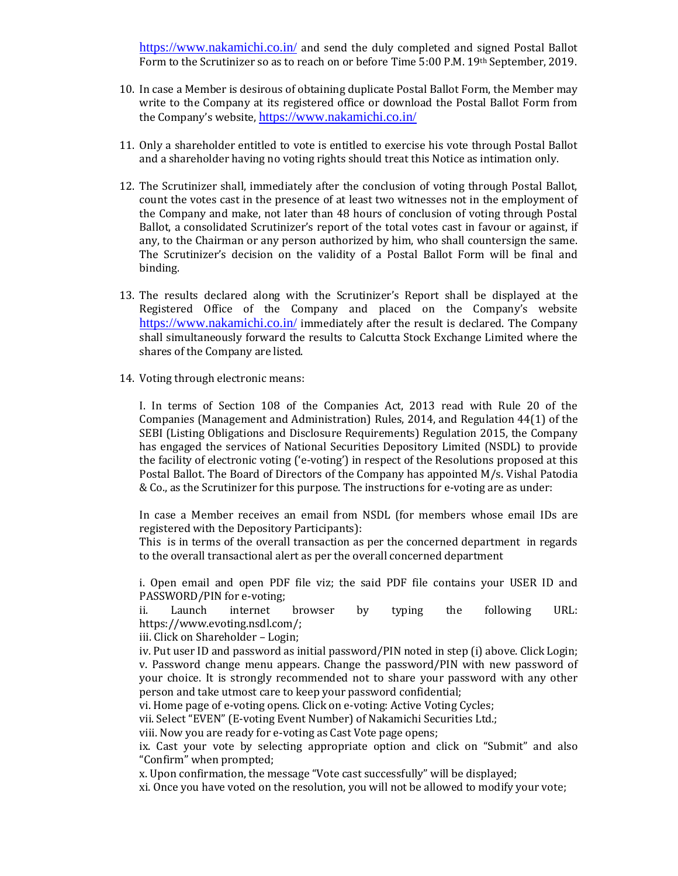<https://www.nakamichi.co.in/> and send the duly completed and signed Postal Ballot Form to the Scrutinizer so as to reach on or before Time 5:00 P.M. 19th September, 2019.

- 10. In case a Member is desirous of obtaining duplicate Postal Ballot Form, the Member may write to the Company at its registered office or download the Postal Ballot Form from the Company's website, <https://www.nakamichi.co.in/>
- 11. Only a shareholder entitled to vote is entitled to exercise his vote through Postal Ballot and a shareholder having no voting rights should treat this Notice as intimation only.
- 12. The Scrutinizer shall, immediately after the conclusion of voting through Postal Ballot, count the votes cast in the presence of at least two witnesses not in the employment of the Company and make, not later than 48 hours of conclusion of voting through Postal Ballot, a consolidated Scrutinizer's report of the total votes cast in favour or against, if any, to the Chairman or any person authorized by him, who shall countersign the same. The Scrutinizer's decision on the validity of a Postal Ballot Form will be final and binding.
- 13. The results declared along with the Scrutinizer's Report shall be displayed at the Registered Office of the Company and placed on the Company's website <https://www.nakamichi.co.in/> immediately after the result is declared. The Company shall simultaneously forward the results to Calcutta Stock Exchange Limited where the shares of the Company are listed.
- 14. Voting through electronic means:

I. In terms of Section 108 of the Companies Act, 2013 read with Rule 20 of the Companies (Management and Administration) Rules, 2014, and Regulation 44(1) of the SEBI (Listing Obligations and Disclosure Requirements) Regulation 2015, the Company has engaged the services of National Securities Depository Limited (NSDL) to provide the facility of electronic voting ('e-voting') in respect of the Resolutions proposed at this Postal Ballot. The Board of Directors of the Company has appointed M/s. Vishal Patodia & Co., as the Scrutinizer for this purpose. The instructions for e-voting are as under:

In case a Member receives an email from NSDL (for members whose email IDs are registered with the Depository Participants):

This is in terms of the overall transaction as per the concerned department in regards to the overall transactional alert as per the overall concerned department

i. Open email and open PDF file viz; the said PDF file contains your USER ID and PASSWORD/PIN for e-voting;

ii. Launch internet browser by typing the following URL: https://www.evoting.nsdl.com/;

iii. Click on Shareholder – Login;

iv. Put user ID and password as initial password/PIN noted in step (i) above. Click Login; v. Password change menu appears. Change the password/PIN with new password of your choice. It is strongly recommended not to share your password with any other person and take utmost care to keep your password confidential;

vi. Home page of e-voting opens. Click on e-voting: Active Voting Cycles;

vii. Select "EVEN" (E-voting Event Number) of Nakamichi Securities Ltd.;

viii. Now you are ready for e-voting as Cast Vote page opens;

ix. Cast your vote by selecting appropriate option and click on "Submit" and also "Confirm" when prompted;

x. Upon confirmation, the message "Vote cast successfully" will be displayed;

xi. Once you have voted on the resolution, you will not be allowed to modify your vote;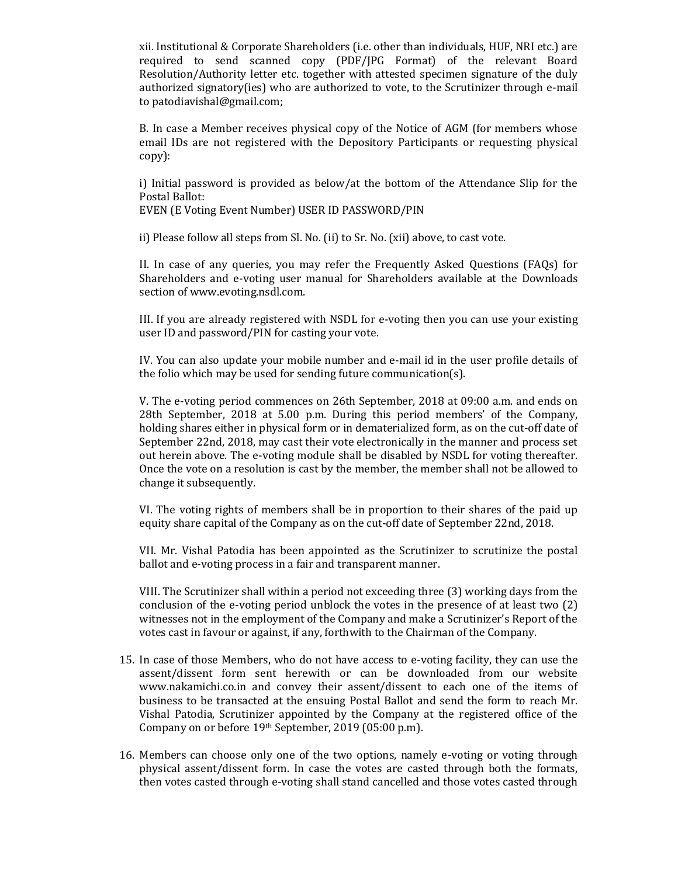xii. Institutional & Corporate Shareholders (i.e. other than individuals, HUF, NRI etc.) are required to send scanned copy (PDF/JPG Format) of the relevant Board Resolution/Authority letter etc. together with attested specimen signature of the duly authorized signatory(ies) who are authorized to vote, to the Scrutinizer through e-mail t[o patodiavishal@gmail.com;](mailto:patodiavishal@gmail.com)

B. In case a Member receives physical copy of the Notice of AGM (for members whose email IDs are not registered with the Depository Participants or requesting physical copy):

i) Initial password is provided as below/at the bottom of the Attendance Slip for the Postal Ballot:

EVEN (E Voting Event Number) USER ID PASSWORD/PIN

ii) Please follow all steps from Sl. No. (ii) to Sr. No. (xii) above, to cast vote.

II. In case of any queries, you may refer the Frequently Asked Questions (FAQs) for Shareholders and e-voting user manual for Shareholders available at the Downloads section of www.evoting.nsdl.com.

III. If you are already registered with NSDL for e-voting then you can use your existing user ID and password/PIN for casting your vote.

IV. You can also update your mobile number and e-mail id in the user profile details of the folio which may be used for sending future communication(s).

V. The e-voting period commences on 26th September, 2018 at 09:00 a.m. and ends on 28th September, 2018 at 5.00 p.m. During this period members' of the Company, holding shares either in physical form or in dematerialized form, as on the cut-off date of September 22nd, 2018, may cast their vote electronically in the manner and process set out herein above. The e-voting module shall be disabled by NSDL for voting thereafter. Once the vote on a resolution is cast by the member, the member shall not be allowed to change it subsequently.

VI. The voting rights of members shall be in proportion to their shares of the paid up equity share capital of the Company as on the cut-off date of September 22nd, 2018.

VII. Mr. Vishal Patodia has been appointed as the Scrutinizer to scrutinize the postal ballot and e-voting process in a fair and transparent manner.

VIII. The Scrutinizer shall within a period not exceeding three (3) working days from the conclusion of the e-voting period unblock the votes in the presence of at least two (2) witnesses not in the employment of the Company and make a Scrutinizer's Report of the votes cast in favour or against, if any, forthwith to the Chairman of the Company.

- 15. In case of those Members, who do not have access to e-voting facility, they can use the assent/dissent form sent herewith or can be downloaded from our website www.nakamichi.co.in and convey their assent/dissent to each one of the items of business to be transacted at the ensuing Postal Ballot and send the form to reach Mr. Vishal Patodia, Scrutinizer appointed by the Company at the registered office of the Company on or before 19th September, 2019 (05:00 p.m).
- 16. Members can choose only one of the two options, namely e-voting or voting through physical assent/dissent form. In case the votes are casted through both the formats, then votes casted through e-voting shall stand cancelled and those votes casted through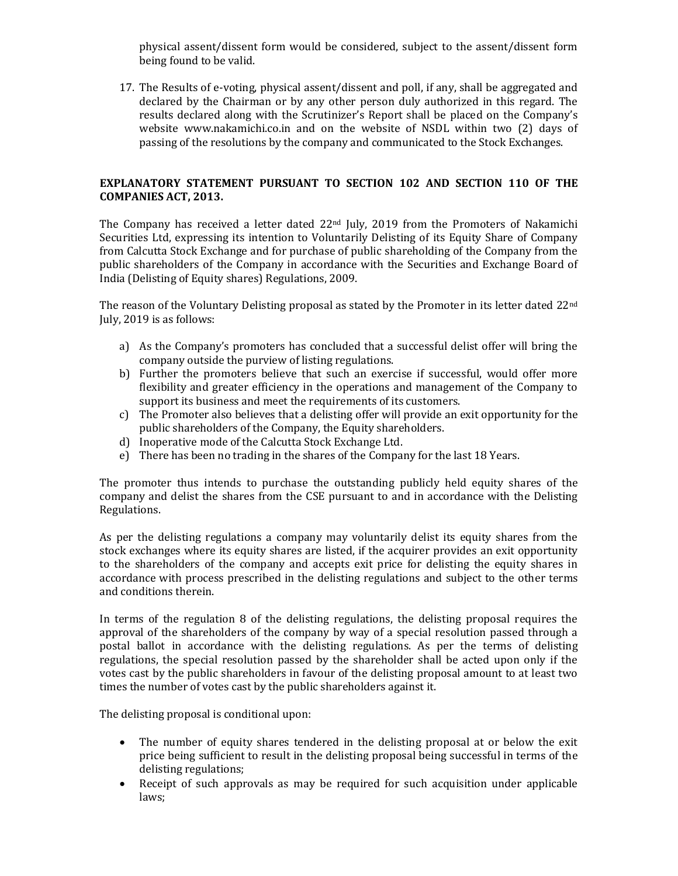physical assent/dissent form would be considered, subject to the assent/dissent form being found to be valid.

17. The Results of e-voting, physical assent/dissent and poll, if any, shall be aggregated and declared by the Chairman or by any other person duly authorized in this regard. The results declared along with the Scrutinizer's Report shall be placed on the Company's website www.nakamichi.co.in and on the website of NSDL within two (2) days of passing of the resolutions by the company and communicated to the Stock Exchanges.

# **EXPLANATORY STATEMENT PURSUANT TO SECTION 102 AND SECTION 110 OF THE COMPANIES ACT, 2013.**

The Company has received a letter dated 22<sup>nd</sup> July, 2019 from the Promoters of Nakamichi Securities Ltd, expressing its intention to Voluntarily Delisting of its Equity Share of Company from Calcutta Stock Exchange and for purchase of public shareholding of the Company from the public shareholders of the Company in accordance with the Securities and Exchange Board of India (Delisting of Equity shares) Regulations, 2009.

The reason of the Voluntary Delisting proposal as stated by the Promoter in its letter dated 22<sup>nd</sup> July, 2019 is as follows:

- a) As the Company's promoters has concluded that a successful delist offer will bring the company outside the purview of listing regulations.
- b) Further the promoters believe that such an exercise if successful, would offer more flexibility and greater efficiency in the operations and management of the Company to support its business and meet the requirements of its customers.
- c) The Promoter also believes that a delisting offer will provide an exit opportunity for the public shareholders of the Company, the Equity shareholders.
- d) Inoperative mode of the Calcutta Stock Exchange Ltd.
- e) There has been no trading in the shares of the Company for the last 18 Years.

The promoter thus intends to purchase the outstanding publicly held equity shares of the company and delist the shares from the CSE pursuant to and in accordance with the Delisting Regulations.

As per the delisting regulations a company may voluntarily delist its equity shares from the stock exchanges where its equity shares are listed, if the acquirer provides an exit opportunity to the shareholders of the company and accepts exit price for delisting the equity shares in accordance with process prescribed in the delisting regulations and subject to the other terms and conditions therein.

In terms of the regulation 8 of the delisting regulations, the delisting proposal requires the approval of the shareholders of the company by way of a special resolution passed through a postal ballot in accordance with the delisting regulations. As per the terms of delisting regulations, the special resolution passed by the shareholder shall be acted upon only if the votes cast by the public shareholders in favour of the delisting proposal amount to at least two times the number of votes cast by the public shareholders against it.

The delisting proposal is conditional upon:

- The number of equity shares tendered in the delisting proposal at or below the exit price being sufficient to result in the delisting proposal being successful in terms of the delisting regulations;
- Receipt of such approvals as may be required for such acquisition under applicable laws;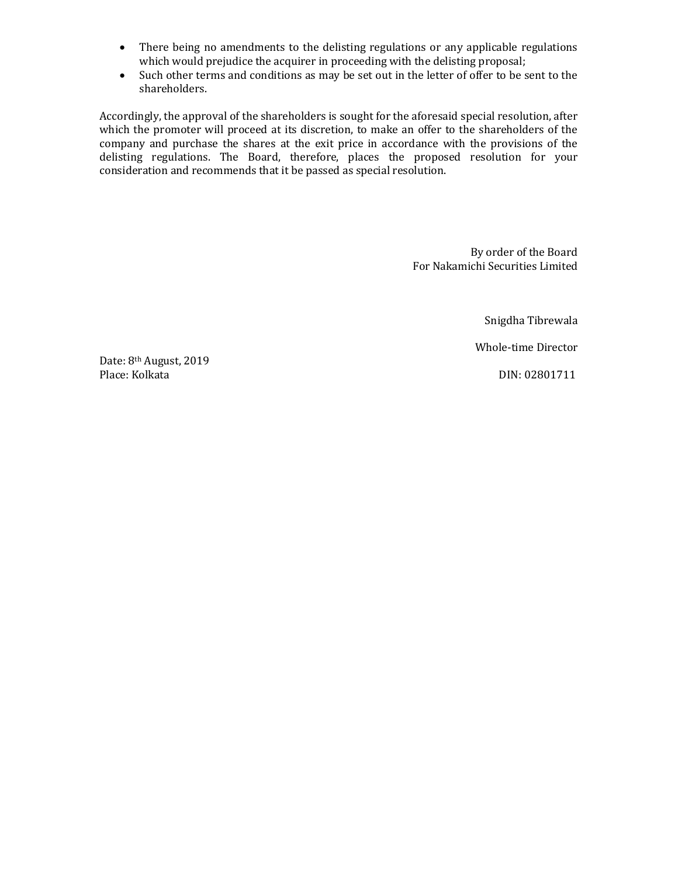- There being no amendments to the delisting regulations or any applicable regulations which would prejudice the acquirer in proceeding with the delisting proposal;
- Such other terms and conditions as may be set out in the letter of offer to be sent to the shareholders.

Accordingly, the approval of the shareholders is sought for the aforesaid special resolution, after which the promoter will proceed at its discretion, to make an offer to the shareholders of the company and purchase the shares at the exit price in accordance with the provisions of the delisting regulations. The Board, therefore, places the proposed resolution for your consideration and recommends that it be passed as special resolution.

> By order of the Board For Nakamichi Securities Limited

> > Snigdha Tibrewala

Whole-time Director

Date: 8th August, 2019 Place: Kolkata DIN: 02801711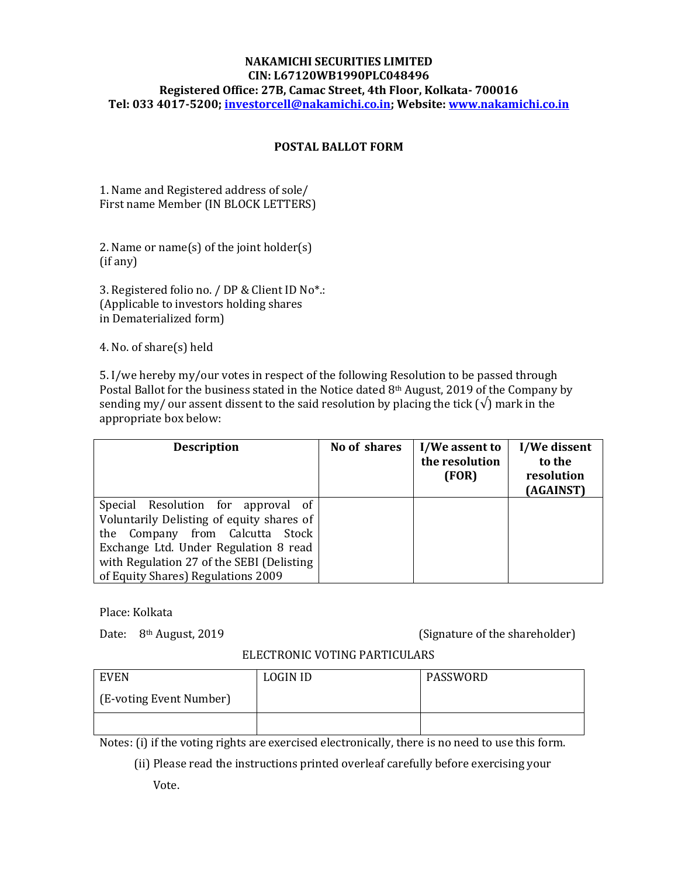# **NAKAMICHI SECURITIES LIMITED CIN: L67120WB1990PLC048496 Registered Office: 27B, Camac Street, 4th Floor, Kolkata- 700016 Tel: 033 4017-5200; [investorcell@nakamichi.co.in;](mailto:investorcell@nakamichi.co.in) Website: [www.nakamichi.co.in](http://www.nakamichi.co.in/)**

# **POSTAL BALLOT FORM**

1. Name and Registered address of sole/ First name Member (IN BLOCK LETTERS)

2. Name or name(s) of the joint holder(s) (if any)

3. Registered folio no. / DP & Client ID No\*.: (Applicable to investors holding shares in Dematerialized form)

4. No. of share(s) held

5. I/we hereby my/our votes in respect of the following Resolution to be passed through Postal Ballot for the business stated in the Notice dated 8th August, 2019 of the Company by sending my/ our assent dissent to the said resolution by placing the tick ( $\sqrt{ }$ ) mark in the appropriate box below:

| <b>Description</b>                                                                                                                                                                                                                             | No of shares | I/We assent to<br>the resolution<br>(FOR) | I/We dissent<br>to the<br>resolution<br>(AGAINST) |
|------------------------------------------------------------------------------------------------------------------------------------------------------------------------------------------------------------------------------------------------|--------------|-------------------------------------------|---------------------------------------------------|
| Special Resolution for approval of<br>Voluntarily Delisting of equity shares of<br>the Company from Calcutta Stock<br>Exchange Ltd. Under Regulation 8 read<br>with Regulation 27 of the SEBI (Delisting<br>of Equity Shares) Regulations 2009 |              |                                           |                                                   |

Place: Kolkata

Date: 8<sup>th</sup> August, 2019 **(Signature of the shareholder)** 

## ELECTRONIC VOTING PARTICULARS

| <b>EVEN</b>             | <b>LOGIN ID</b> | PASSWORD |
|-------------------------|-----------------|----------|
| (E-voting Event Number) |                 |          |
|                         |                 |          |

Notes: (i) if the voting rights are exercised electronically, there is no need to use this form.

(ii) Please read the instructions printed overleaf carefully before exercising your

Vote.